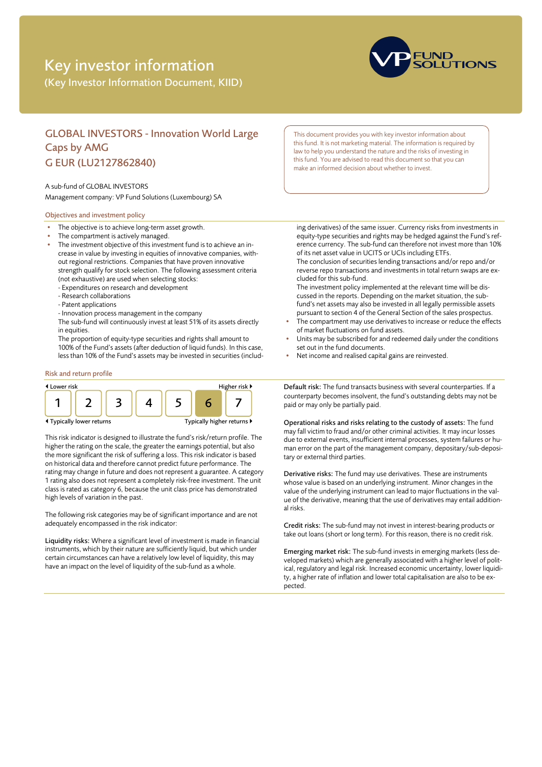# Key investor information

(Key Investor Information Document, KIID)



## GLOBAL INVESTORS - Innovation World Large Caps by AMG G EUR (LU2127862840)

#### A sub-fund of GLOBAL INVESTORS

Management company: VP Fund Solutions (Luxembourg) SA

#### Objectives and investment policy

- The objective is to achieve long-term asset growth.
- The compartment is actively managed.
- The investment objective of this investment fund is to achieve an increase in value by investing in equities of innovative companies, without regional restrictions. Companies that have proven innovative strength qualify for stock selection. The following assessment criteria (not exhaustive) are used when selecting stocks:
	- Expenditures on research and development
	- Research collaborations
	- Patent applications
	- Innovation process management in the company
	- The sub-fund will continuously invest at least 51% of its assets directly in equities.

The proportion of equity-type securities and rights shall amount to 100% of the Fund's assets (after deduction of liquid funds). In this case, less than 10% of the Fund's assets may be invested in securities (includ-

#### Risk and return profile



This risk indicator is designed to illustrate the fund's risk/return profile. The higher the rating on the scale, the greater the earnings potential, but also the more significant the risk of suffering a loss. This risk indicator is based on historical data and therefore cannot predict future performance. The rating may change in future and does not represent a guarantee. A category 1 rating also does not represent a completely risk-free investment. The unit class is rated as category 6, because the unit class price has demonstrated high levels of variation in the past.

The following risk categories may be of significant importance and are not adequately encompassed in the risk indicator:

Liquidity risks: Where a significant level of investment is made in financial instruments, which by their nature are sufficiently liquid, but which under certain circumstances can have a relatively low level of liquidity, this may have an impact on the level of liquidity of the sub-fund as a whole.

This document provides you with key investor information about this fund. It is not marketing material. The information is required by law to help you understand the nature and the risks of investing in this fund. You are advised to read this document so that you can make an informed decision about whether to invest.

ing derivatives) of the same issuer. Currency risks from investments in equity-type securities and rights may be hedged against the Fund's reference currency. The sub-fund can therefore not invest more than 10% of its net asset value in UCITS or UCIs including ETFs. The conclusion of securities lending transactions and/or repo and/or

reverse repo transactions and investments in total return swaps are excluded for this sub-fund.

The investment policy implemented at the relevant time will be discussed in the reports. Depending on the market situation, the subfund's net assets may also be invested in all legally permissible assets pursuant to section 4 of the General Section of the sales prospectus.

- The compartment may use derivatives to increase or reduce the effects of market fluctuations on fund assets.
- Units may be subscribed for and redeemed daily under the conditions set out in the fund documents.
- Net income and realised capital gains are reinvested.

Default risk: The fund transacts business with several counterparties. If a counterparty becomes insolvent, the fund's outstanding debts may not be paid or may only be partially paid.

Operational risks and risks relating to the custody of assets: The fund may fall victim to fraud and/or other criminal activities. It may incur losses due to external events, insufficient internal processes, system failures or human error on the part of the management company, depositary/sub-depositary or external third parties.

Derivative risks: The fund may use derivatives. These are instruments whose value is based on an underlying instrument. Minor changes in the value of the underlying instrument can lead to major fluctuations in the value of the derivative, meaning that the use of derivatives may entail additional risks.

Credit risks: The sub-fund may not invest in interest-bearing products or take out loans (short or long term). For this reason, there is no credit risk.

Emerging market risk: The sub-fund invests in emerging markets (less developed markets) which are generally associated with a higher level of political, regulatory and legal risk. Increased economic uncertainty, lower liquidity, a higher rate of inflation and lower total capitalisation are also to be expected.